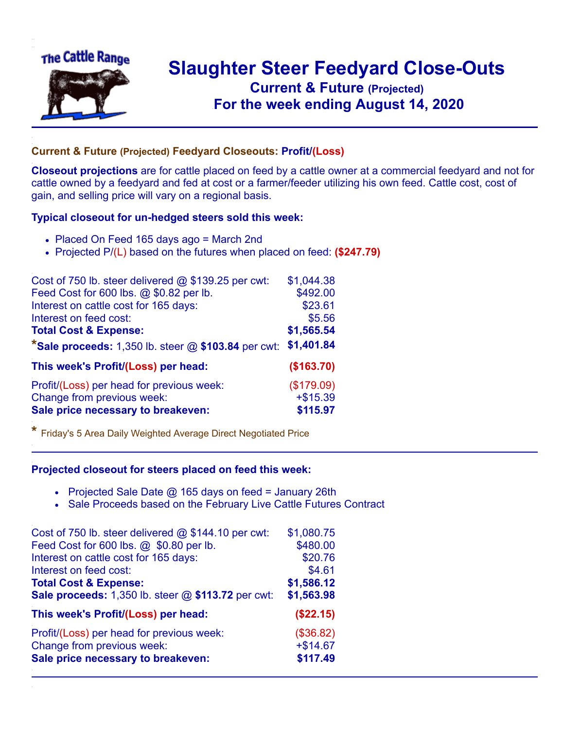

## **Slaughter Steer Feedyard Close-Outs Current & Future (Projected)** .**For the week ending August 14, 2020**

## **Current & Future (Projected) Feedyard Closeouts: Profit/(Loss)**

**Closeout projections** are for cattle placed on feed by a cattle owner at a commercial feedyard and not for cattle owned by a feedyard and fed at cost or a farmer/feeder utilizing his own feed. Cattle cost, cost of gain, and selling price will vary on a regional basis.

## **Typical closeout for un-hedged steers sold this week:**

- Placed On Feed 165 days ago = March 2nd
- Projected P/(L) based on the futures when placed on feed: **(\$247.79)**

| Cost of 750 lb. steer delivered $@$ \$139.25 per cwt:   | \$1,044.38 |
|---------------------------------------------------------|------------|
| Feed Cost for 600 lbs. @ \$0.82 per lb.                 | \$492.00   |
| Interest on cattle cost for 165 days:                   | \$23.61    |
| Interest on feed cost:                                  | \$5.56     |
| <b>Total Cost &amp; Expense:</b>                        | \$1,565.54 |
| *Sale proceeds: $1,350$ lb. steer $@$ \$103.84 per cwt: | \$1,401.84 |
| This week's Profit/(Loss) per head:                     | (\$163.70) |
| Profit/(Loss) per head for previous week:               | (\$179.09) |
| Change from previous week:                              | $+ $15.39$ |
| Sale price necessary to breakeven:                      | \$115.97   |

**\*** Friday's 5 Area Daily Weighted Average Direct Negotiated Price

## **Projected closeout for steers placed on feed this week:**

- Projected Sale Date  $@$  165 days on feed = January 26th
- Sale Proceeds based on the February Live Cattle Futures Contract

| Cost of 750 lb. steer delivered @ \$144.10 per cwt: | \$1,080.75 |
|-----------------------------------------------------|------------|
| Feed Cost for 600 lbs. @ \$0.80 per lb.             | \$480.00   |
| Interest on cattle cost for 165 days:               | \$20.76    |
| Interest on feed cost:                              | \$4.61     |
| <b>Total Cost &amp; Expense:</b>                    | \$1,586.12 |
| Sale proceeds: 1,350 lb. steer @ \$113.72 per cwt:  | \$1,563.98 |
| This week's Profit/(Loss) per head:                 | (\$22.15)  |
| Profit/(Loss) per head for previous week:           | (\$36.82)  |
| Change from previous week:                          | $+ $14.67$ |
| Sale price necessary to breakeven:                  | \$117.49   |